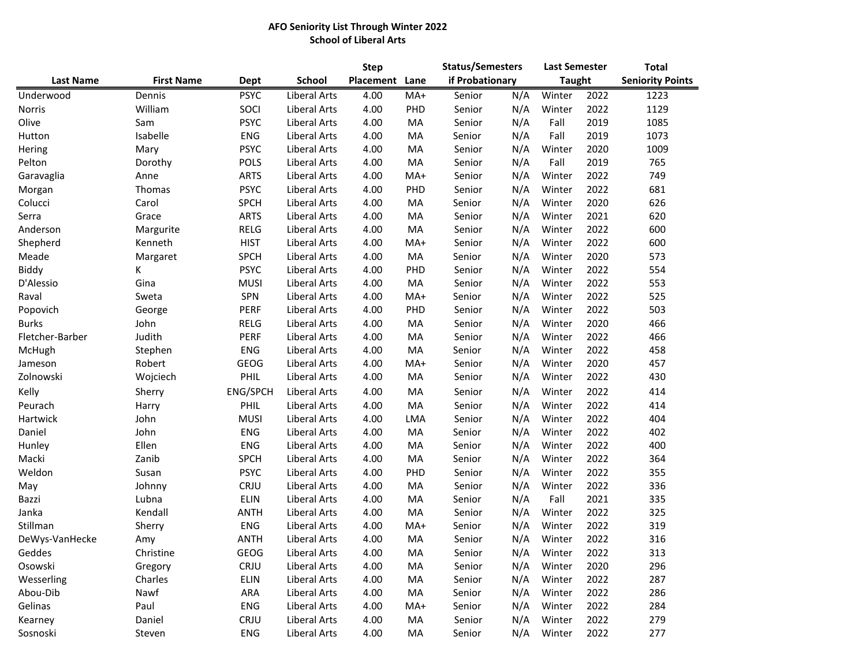## **AFO Seniority List Through Winter 2022 School of Liberal Arts**

|                  |                   |             |                     | <b>Step</b> |      | <b>Status/Semesters</b> | <b>Last Semester</b> |        | <b>Total</b><br><b>Seniority Points</b> |      |
|------------------|-------------------|-------------|---------------------|-------------|------|-------------------------|----------------------|--------|-----------------------------------------|------|
| <b>Last Name</b> | <b>First Name</b> | Dept        | School              | Placement   | Lane | if Probationary         | <b>Taught</b>        |        |                                         |      |
| Underwood        | Dennis            | <b>PSYC</b> | Liberal Arts        | 4.00        | MA+  | Senior                  | N/A                  | Winter | 2022                                    | 1223 |
| Norris           | William           | SOCI        | Liberal Arts        | 4.00        | PHD  | Senior                  | N/A                  | Winter | 2022                                    | 1129 |
| Olive            | Sam               | <b>PSYC</b> | <b>Liberal Arts</b> | 4.00        | MA   | Senior                  | N/A                  | Fall   | 2019                                    | 1085 |
| Hutton           | Isabelle          | <b>ENG</b>  | Liberal Arts        | 4.00        | MA   | Senior                  | N/A                  | Fall   | 2019                                    | 1073 |
| Hering           | Mary              | <b>PSYC</b> | Liberal Arts        | 4.00        | MA   | Senior                  | N/A                  | Winter | 2020                                    | 1009 |
| Pelton           | Dorothy           | <b>POLS</b> | Liberal Arts        | 4.00        | MA   | Senior                  | N/A                  | Fall   | 2019                                    | 765  |
| Garavaglia       | Anne              | <b>ARTS</b> | Liberal Arts        | 4.00        | MA+  | Senior                  | N/A                  | Winter | 2022                                    | 749  |
| Morgan           | Thomas            | <b>PSYC</b> | Liberal Arts        | 4.00        | PHD  | Senior                  | N/A                  | Winter | 2022                                    | 681  |
| Colucci          | Carol             | <b>SPCH</b> | Liberal Arts        | 4.00        | MA   | Senior                  | N/A                  | Winter | 2020                                    | 626  |
| Serra            | Grace             | <b>ARTS</b> | <b>Liberal Arts</b> | 4.00        | MA   | Senior                  | N/A                  | Winter | 2021                                    | 620  |
| Anderson         | Margurite         | RELG        | Liberal Arts        | 4.00        | MA   | Senior                  | N/A                  | Winter | 2022                                    | 600  |
| Shepherd         | Kenneth           | <b>HIST</b> | Liberal Arts        | 4.00        | MA+  | Senior                  | N/A                  | Winter | 2022                                    | 600  |
| Meade            | Margaret          | <b>SPCH</b> | Liberal Arts        | 4.00        | MA   | Senior                  | N/A                  | Winter | 2020                                    | 573  |
| Biddy            | К                 | <b>PSYC</b> | Liberal Arts        | 4.00        | PHD  | Senior                  | N/A                  | Winter | 2022                                    | 554  |
| D'Alessio        | Gina              | <b>MUSI</b> | <b>Liberal Arts</b> | 4.00        | MA   | Senior                  | N/A                  | Winter | 2022                                    | 553  |
| Raval            | Sweta             | SPN         | Liberal Arts        | 4.00        | MA+  | Senior                  | N/A                  | Winter | 2022                                    | 525  |
| Popovich         | George            | PERF        | Liberal Arts        | 4.00        | PHD  | Senior                  | N/A                  | Winter | 2022                                    | 503  |
| <b>Burks</b>     | John              | <b>RELG</b> | Liberal Arts        | 4.00        | MA   | Senior                  | N/A                  | Winter | 2020                                    | 466  |
| Fletcher-Barber  | Judith            | PERF        | Liberal Arts        | 4.00        | MA   | Senior                  | N/A                  | Winter | 2022                                    | 466  |
| McHugh           | Stephen           | <b>ENG</b>  | Liberal Arts        | 4.00        | MA   | Senior                  | N/A                  | Winter | 2022                                    | 458  |
| Jameson          | Robert            | <b>GEOG</b> | Liberal Arts        | 4.00        | MA+  | Senior                  | N/A                  | Winter | 2020                                    | 457  |
| Zolnowski        | Wojciech          | <b>PHIL</b> | Liberal Arts        | 4.00        | MA   | Senior                  | N/A                  | Winter | 2022                                    | 430  |
| Kelly            | Sherry            | ENG/SPCH    | Liberal Arts        | 4.00        | MA   | Senior                  | N/A                  | Winter | 2022                                    | 414  |
| Peurach          | Harry             | PHIL        | Liberal Arts        | 4.00        | MA   | Senior                  | N/A                  | Winter | 2022                                    | 414  |
| Hartwick         | John              | <b>MUSI</b> | Liberal Arts        | 4.00        | LMA  | Senior                  | N/A                  | Winter | 2022                                    | 404  |
| Daniel           | John              | <b>ENG</b>  | Liberal Arts        | 4.00        | MA   | Senior                  | N/A                  | Winter | 2022                                    | 402  |
| Hunley           | Ellen             | <b>ENG</b>  | Liberal Arts        | 4.00        | MA   | Senior                  | N/A                  | Winter | 2022                                    | 400  |
| Macki            | Zanib             | <b>SPCH</b> | Liberal Arts        | 4.00        | MA   | Senior                  | N/A                  | Winter | 2022                                    | 364  |
| Weldon           | Susan             | <b>PSYC</b> | Liberal Arts        | 4.00        | PHD  | Senior                  | N/A                  | Winter | 2022                                    | 355  |
| May              | Johnny            | CRJU        | Liberal Arts        | 4.00        | MA   | Senior                  | N/A                  | Winter | 2022                                    | 336  |
| Bazzi            | Lubna             | <b>ELIN</b> | Liberal Arts        | 4.00        | MA   | Senior                  | N/A                  | Fall   | 2021                                    | 335  |
| Janka            | Kendall           | <b>ANTH</b> | Liberal Arts        | 4.00        | MA   | Senior                  | N/A                  | Winter | 2022                                    | 325  |
| Stillman         | Sherry            | ENG         | Liberal Arts        | 4.00        | MA+  | Senior                  | N/A                  | Winter | 2022                                    | 319  |
| DeWys-VanHecke   | Amy               | <b>ANTH</b> | Liberal Arts        | 4.00        | MA   | Senior                  | N/A                  | Winter | 2022                                    | 316  |
| Geddes           | Christine         | GEOG        | Liberal Arts        | 4.00        | MA   | Senior                  | N/A                  | Winter | 2022                                    | 313  |
| Osowski          | Gregory           | CRJU        | Liberal Arts        | 4.00        | MA   | Senior                  | N/A                  | Winter | 2020                                    | 296  |
| Wesserling       | Charles           | ELIN        | Liberal Arts        | 4.00        | MA   | Senior                  | N/A                  | Winter | 2022                                    | 287  |
| Abou-Dib         | Nawf              | ARA         | Liberal Arts        | 4.00        | MA   | Senior                  | N/A                  | Winter | 2022                                    | 286  |
| Gelinas          | Paul              | <b>ENG</b>  | Liberal Arts        | 4.00        | MA+  | Senior                  | N/A                  | Winter | 2022                                    | 284  |
| Kearney          | Daniel            | CRJU        | Liberal Arts        | 4.00        | MA   | Senior                  | N/A                  | Winter | 2022                                    | 279  |
| Sosnoski         | Steven            | <b>ENG</b>  | Liberal Arts        | 4.00        | MA   | Senior                  | N/A                  | Winter | 2022                                    | 277  |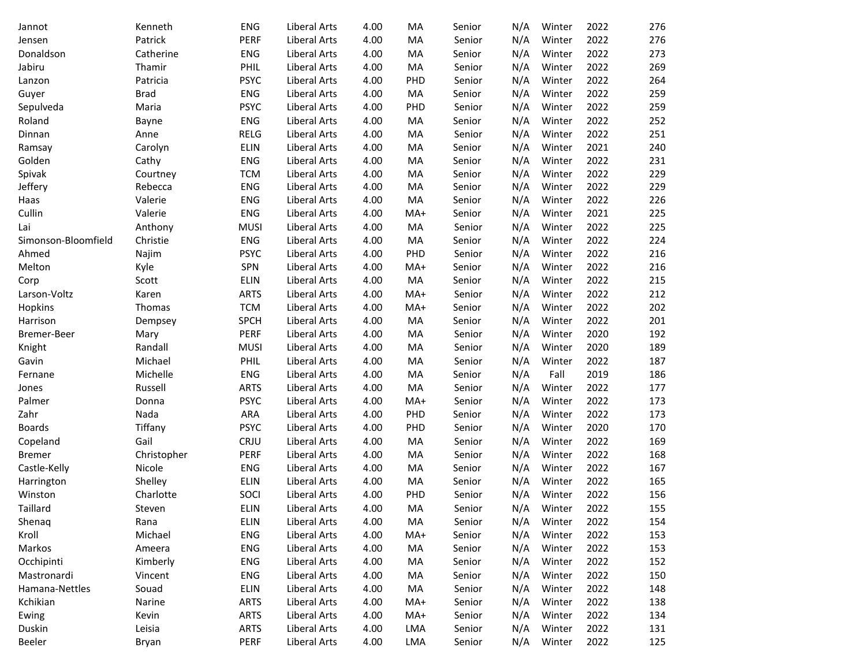| Jannot              | Kenneth     | <b>ENG</b>  | Liberal Arts        | 4.00 | MA         | Senior | N/A | Winter | 2022 | 276 |
|---------------------|-------------|-------------|---------------------|------|------------|--------|-----|--------|------|-----|
| Jensen              | Patrick     | <b>PERF</b> | Liberal Arts        | 4.00 | MA         | Senior | N/A | Winter | 2022 | 276 |
| Donaldson           | Catherine   | <b>ENG</b>  | <b>Liberal Arts</b> | 4.00 | MA         | Senior | N/A | Winter | 2022 | 273 |
| Jabiru              | Thamir      | PHIL        | Liberal Arts        | 4.00 | MA         | Senior | N/A | Winter | 2022 | 269 |
| Lanzon              | Patricia    | <b>PSYC</b> | <b>Liberal Arts</b> | 4.00 | PHD        | Senior | N/A | Winter | 2022 | 264 |
| Guyer               | <b>Brad</b> | <b>ENG</b>  | <b>Liberal Arts</b> | 4.00 | MA         | Senior | N/A | Winter | 2022 | 259 |
| Sepulveda           | Maria       | <b>PSYC</b> | Liberal Arts        | 4.00 | PHD        | Senior | N/A | Winter | 2022 | 259 |
| Roland              | Bayne       | <b>ENG</b>  | <b>Liberal Arts</b> | 4.00 | MA         | Senior | N/A | Winter | 2022 | 252 |
| Dinnan              | Anne        | RELG        | <b>Liberal Arts</b> | 4.00 | MA         | Senior | N/A | Winter | 2022 | 251 |
| Ramsay              | Carolyn     | <b>ELIN</b> | <b>Liberal Arts</b> | 4.00 | MA         | Senior | N/A | Winter | 2021 | 240 |
| Golden              | Cathy       | <b>ENG</b>  | <b>Liberal Arts</b> | 4.00 | MA         | Senior | N/A | Winter | 2022 | 231 |
| Spivak              | Courtney    | <b>TCM</b>  | <b>Liberal Arts</b> | 4.00 | MA         | Senior | N/A | Winter | 2022 | 229 |
| Jeffery             | Rebecca     | <b>ENG</b>  | <b>Liberal Arts</b> | 4.00 | MA         | Senior | N/A | Winter | 2022 | 229 |
| Haas                | Valerie     | <b>ENG</b>  | <b>Liberal Arts</b> | 4.00 | MA         | Senior | N/A | Winter | 2022 | 226 |
| Cullin              | Valerie     | <b>ENG</b>  | <b>Liberal Arts</b> | 4.00 | MA+        | Senior | N/A | Winter | 2021 | 225 |
| Lai                 | Anthony     | <b>MUSI</b> | Liberal Arts        | 4.00 | MA         | Senior | N/A | Winter | 2022 | 225 |
| Simonson-Bloomfield | Christie    | <b>ENG</b>  | <b>Liberal Arts</b> | 4.00 | MA         | Senior | N/A | Winter | 2022 | 224 |
| Ahmed               | Najim       | <b>PSYC</b> | <b>Liberal Arts</b> | 4.00 | PHD        | Senior | N/A | Winter | 2022 | 216 |
| Melton              | Kyle        | SPN         | <b>Liberal Arts</b> | 4.00 | MA+        | Senior | N/A | Winter | 2022 | 216 |
| Corp                | Scott       | <b>ELIN</b> | <b>Liberal Arts</b> | 4.00 | MA         | Senior | N/A | Winter | 2022 | 215 |
| Larson-Voltz        | Karen       | <b>ARTS</b> | <b>Liberal Arts</b> | 4.00 | MA+        | Senior | N/A | Winter | 2022 | 212 |
| Hopkins             | Thomas      | <b>TCM</b>  | Liberal Arts        | 4.00 | $MA+$      | Senior | N/A | Winter | 2022 | 202 |
| Harrison            | Dempsey     | <b>SPCH</b> | <b>Liberal Arts</b> | 4.00 | MA         | Senior | N/A | Winter | 2022 | 201 |
| Bremer-Beer         | Mary        | PERF        | Liberal Arts        | 4.00 | MA         | Senior | N/A | Winter | 2020 | 192 |
| Knight              | Randall     | <b>MUSI</b> | <b>Liberal Arts</b> | 4.00 | MA         | Senior | N/A | Winter | 2020 | 189 |
| Gavin               | Michael     | PHIL        | <b>Liberal Arts</b> | 4.00 | MA         | Senior | N/A | Winter | 2022 | 187 |
| Fernane             | Michelle    | <b>ENG</b>  | <b>Liberal Arts</b> | 4.00 | MA         | Senior | N/A | Fall   | 2019 | 186 |
| Jones               | Russell     | <b>ARTS</b> | Liberal Arts        | 4.00 | MA         | Senior | N/A | Winter | 2022 | 177 |
| Palmer              | Donna       | <b>PSYC</b> | Liberal Arts        | 4.00 | MA+        | Senior | N/A | Winter | 2022 | 173 |
| Zahr                | Nada        | ARA         | <b>Liberal Arts</b> | 4.00 | PHD        | Senior | N/A | Winter | 2022 | 173 |
| <b>Boards</b>       | Tiffany     | <b>PSYC</b> | Liberal Arts        | 4.00 | PHD        | Senior | N/A | Winter | 2020 | 170 |
| Copeland            | Gail        | CRJU        | Liberal Arts        | 4.00 | MA         | Senior | N/A | Winter | 2022 | 169 |
| <b>Bremer</b>       | Christopher | <b>PERF</b> | Liberal Arts        | 4.00 | MA         | Senior | N/A | Winter | 2022 | 168 |
| Castle-Kelly        | Nicole      | <b>ENG</b>  | Liberal Arts        | 4.00 | MA         | Senior | N/A | Winter | 2022 | 167 |
| Harrington          | Shelley     | <b>ELIN</b> | Liberal Arts        | 4.00 | MA         | Senior | N/A | Winter | 2022 | 165 |
| Winston             | Charlotte   | SOCI        | <b>Liberal Arts</b> | 4.00 | PHD        | Senior | N/A | Winter | 2022 | 156 |
| Taillard            | Steven      | ELIN        | Liberal Arts        | 4.00 | MA         | Senior | N/A | Winter | 2022 | 155 |
| Shenaq              | Rana        | <b>ELIN</b> | Liberal Arts        | 4.00 | MA         | Senior | N/A | Winter | 2022 | 154 |
| Kroll               | Michael     | <b>ENG</b>  | Liberal Arts        | 4.00 | MA+        | Senior | N/A | Winter | 2022 | 153 |
| Markos              | Ameera      | <b>ENG</b>  | Liberal Arts        | 4.00 | MA         | Senior | N/A | Winter | 2022 | 153 |
| Occhipinti          | Kimberly    | <b>ENG</b>  | Liberal Arts        | 4.00 | MA         | Senior | N/A | Winter | 2022 | 152 |
| Mastronardi         | Vincent     | <b>ENG</b>  | Liberal Arts        | 4.00 | MA         | Senior | N/A | Winter | 2022 | 150 |
| Hamana-Nettles      | Souad       | <b>ELIN</b> | <b>Liberal Arts</b> | 4.00 | MA         | Senior | N/A | Winter | 2022 | 148 |
| Kchikian            | Narine      | <b>ARTS</b> | Liberal Arts        | 4.00 | MA+        | Senior | N/A | Winter | 2022 | 138 |
| Ewing               | Kevin       | <b>ARTS</b> | Liberal Arts        | 4.00 | MA+        | Senior | N/A | Winter | 2022 | 134 |
| Duskin              | Leisia      | <b>ARTS</b> | Liberal Arts        | 4.00 | <b>LMA</b> | Senior | N/A | Winter | 2022 | 131 |
| Beeler              | Bryan       | PERF        | <b>Liberal Arts</b> | 4.00 | LMA        | Senior | N/A | Winter | 2022 | 125 |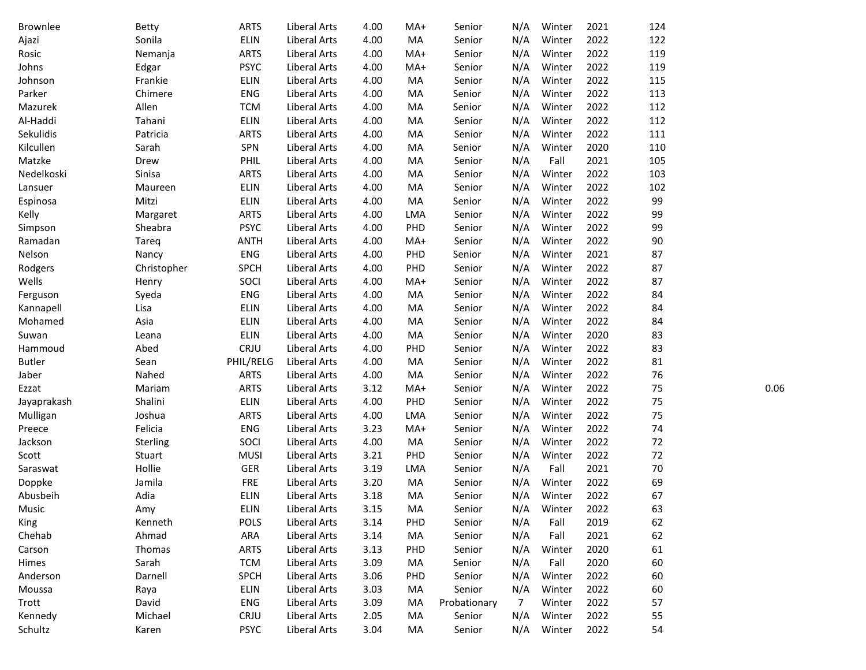| Brownlee      | <b>Betty</b> | <b>ARTS</b> | Liberal Arts        | 4.00 | MA+        | Senior       | N/A | Winter | 2021 | 124 |      |
|---------------|--------------|-------------|---------------------|------|------------|--------------|-----|--------|------|-----|------|
| Ajazi         | Sonila       | ELIN        | <b>Liberal Arts</b> | 4.00 | MA         | Senior       | N/A | Winter | 2022 | 122 |      |
| Rosic         | Nemanja      | <b>ARTS</b> | Liberal Arts        | 4.00 | MA+        | Senior       | N/A | Winter | 2022 | 119 |      |
| Johns         | Edgar        | <b>PSYC</b> | Liberal Arts        | 4.00 | MA+        | Senior       | N/A | Winter | 2022 | 119 |      |
| Johnson       | Frankie      | <b>ELIN</b> | Liberal Arts        | 4.00 | MA         | Senior       | N/A | Winter | 2022 | 115 |      |
| Parker        | Chimere      | ENG         | Liberal Arts        | 4.00 | MA         | Senior       | N/A | Winter | 2022 | 113 |      |
| Mazurek       | Allen        | <b>TCM</b>  | Liberal Arts        | 4.00 | MA         | Senior       | N/A | Winter | 2022 | 112 |      |
| Al-Haddi      | Tahani       | ELIN        | Liberal Arts        | 4.00 | MA         | Senior       | N/A | Winter | 2022 | 112 |      |
| Sekulidis     | Patricia     | <b>ARTS</b> | Liberal Arts        | 4.00 | MA         | Senior       | N/A | Winter | 2022 | 111 |      |
| Kilcullen     | Sarah        | SPN         | Liberal Arts        | 4.00 | MA         | Senior       | N/A | Winter | 2020 | 110 |      |
| Matzke        | Drew         | PHIL        | Liberal Arts        | 4.00 | MA         | Senior       | N/A | Fall   | 2021 | 105 |      |
| Nedelkoski    | Sinisa       | <b>ARTS</b> | Liberal Arts        | 4.00 | MA         | Senior       | N/A | Winter | 2022 | 103 |      |
| Lansuer       | Maureen      | ELIN        | Liberal Arts        | 4.00 | MA         | Senior       | N/A | Winter | 2022 | 102 |      |
| Espinosa      | Mitzi        | ELIN        | Liberal Arts        | 4.00 | MA         | Senior       | N/A | Winter | 2022 | 99  |      |
| Kelly         | Margaret     | <b>ARTS</b> | Liberal Arts        | 4.00 | LMA        | Senior       | N/A | Winter | 2022 | 99  |      |
| Simpson       | Sheabra      | <b>PSYC</b> | Liberal Arts        | 4.00 | PHD        | Senior       | N/A | Winter | 2022 | 99  |      |
| Ramadan       | Tareq        | <b>ANTH</b> | Liberal Arts        | 4.00 | MA+        | Senior       | N/A | Winter | 2022 | 90  |      |
| Nelson        | Nancy        | <b>ENG</b>  | <b>Liberal Arts</b> | 4.00 | PHD        | Senior       | N/A | Winter | 2021 | 87  |      |
| Rodgers       | Christopher  | <b>SPCH</b> | <b>Liberal Arts</b> | 4.00 | PHD        | Senior       | N/A | Winter | 2022 | 87  |      |
| Wells         | Henry        | SOCI        | Liberal Arts        | 4.00 | MA+        | Senior       | N/A | Winter | 2022 | 87  |      |
| Ferguson      | Syeda        | ENG         | Liberal Arts        | 4.00 | MA         | Senior       | N/A | Winter | 2022 | 84  |      |
| Kannapell     | Lisa         | ELIN        | Liberal Arts        | 4.00 | MA         | Senior       | N/A | Winter | 2022 | 84  |      |
| Mohamed       | Asia         | ELIN        | Liberal Arts        | 4.00 | MA         | Senior       | N/A | Winter | 2022 | 84  |      |
| Suwan         | Leana        | ELIN        | <b>Liberal Arts</b> | 4.00 | MA         | Senior       | N/A | Winter | 2020 | 83  |      |
| Hammoud       | Abed         | CRJU        | Liberal Arts        | 4.00 | PHD        | Senior       | N/A | Winter | 2022 | 83  |      |
| <b>Butler</b> | Sean         | PHIL/RELG   | Liberal Arts        | 4.00 | MA         | Senior       | N/A | Winter | 2022 | 81  |      |
| Jaber         | Nahed        | <b>ARTS</b> | Liberal Arts        | 4.00 | MA         | Senior       | N/A | Winter | 2022 | 76  |      |
| Ezzat         | Mariam       | <b>ARTS</b> | Liberal Arts        | 3.12 | MA+        | Senior       | N/A | Winter | 2022 | 75  | 0.06 |
| Jayaprakash   | Shalini      | ELIN        | Liberal Arts        | 4.00 | PHD        | Senior       | N/A | Winter | 2022 | 75  |      |
| Mulligan      | Joshua       | <b>ARTS</b> | Liberal Arts        | 4.00 | LMA        | Senior       | N/A | Winter | 2022 | 75  |      |
| Preece        | Felicia      | <b>ENG</b>  | Liberal Arts        | 3.23 | MA+        | Senior       | N/A | Winter | 2022 | 74  |      |
| Jackson       | Sterling     | SOCI        | Liberal Arts        | 4.00 | MA         | Senior       | N/A | Winter | 2022 | 72  |      |
| Scott         | Stuart       | <b>MUSI</b> | Liberal Arts        | 3.21 | PHD        | Senior       | N/A | Winter | 2022 | 72  |      |
| Saraswat      | Hollie       | GER         | Liberal Arts        | 3.19 | LMA        | Senior       | N/A | Fall   | 2021 | 70  |      |
| Doppke        | Jamila       | <b>FRE</b>  | Liberal Arts        | 3.20 | MA         | Senior       | N/A | Winter | 2022 | 69  |      |
| Abusbeih      | Adia         | ELIN        | Liberal Arts        | 3.18 | MA         | Senior       | N/A | Winter | 2022 | 67  |      |
| Music         | Amy          | ELIN        | Liberal Arts        | 3.15 | MA         | Senior       | N/A | Winter | 2022 | 63  |      |
| King          | Kenneth      | <b>POLS</b> | Liberal Arts        | 3.14 | PHD        | Senior       | N/A | Fall   | 2019 | 62  |      |
| Chehab        | Ahmad        | ARA         | Liberal Arts        | 3.14 | MA         | Senior       | N/A | Fall   | 2021 | 62  |      |
| Carson        | Thomas       | <b>ARTS</b> | Liberal Arts        | 3.13 | PHD        | Senior       | N/A | Winter | 2020 | 61  |      |
| Himes         | Sarah        | <b>TCM</b>  | Liberal Arts        | 3.09 | MA         | Senior       | N/A | Fall   | 2020 | 60  |      |
| Anderson      | Darnell      | <b>SPCH</b> | Liberal Arts        | 3.06 | <b>PHD</b> | Senior       | N/A | Winter | 2022 | 60  |      |
| Moussa        | Raya         | <b>ELIN</b> | Liberal Arts        | 3.03 | MA         | Senior       | N/A | Winter | 2022 | 60  |      |
| Trott         | David        | ENG         | Liberal Arts        | 3.09 | MA         | Probationary | 7   | Winter | 2022 | 57  |      |
| Kennedy       | Michael      | CRJU        | Liberal Arts        | 2.05 | MA         | Senior       | N/A | Winter | 2022 | 55  |      |
| Schultz       | Karen        | <b>PSYC</b> | Liberal Arts        | 3.04 | MA         | Senior       | N/A | Winter | 2022 | 54  |      |
|               |              |             |                     |      |            |              |     |        |      |     |      |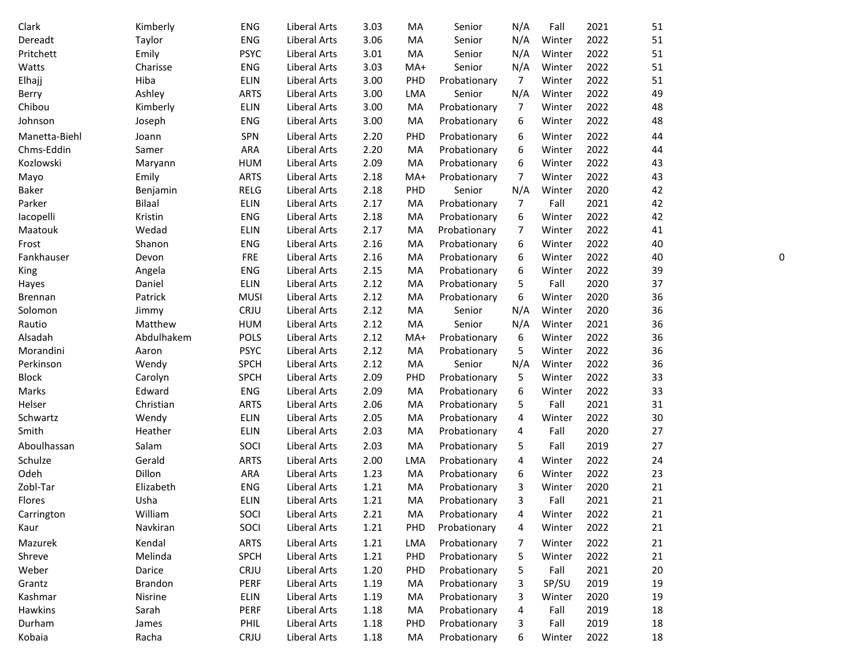| Clark          | Kimberly      | <b>ENG</b>  | Liberal Arts        | 3.03 | MA    | Senior       | N/A            | Fall   | 2021 | 51 |
|----------------|---------------|-------------|---------------------|------|-------|--------------|----------------|--------|------|----|
| Dereadt        | Taylor        | <b>ENG</b>  | <b>Liberal Arts</b> | 3.06 | MA    | Senior       | N/A            | Winter | 2022 | 51 |
| Pritchett      | Emily         | <b>PSYC</b> | Liberal Arts        | 3.01 | MA    | Senior       | N/A            | Winter | 2022 | 51 |
| Watts          | Charisse      | <b>ENG</b>  | Liberal Arts        | 3.03 | MA+   | Senior       | N/A            | Winter | 2022 | 51 |
| Elhajj         | Hiba          | <b>ELIN</b> | Liberal Arts        | 3.00 | PHD   | Probationary | 7              | Winter | 2022 | 51 |
| Berry          | Ashley        | <b>ARTS</b> | Liberal Arts        | 3.00 | LMA   | Senior       | N/A            | Winter | 2022 | 49 |
| Chibou         | Kimberly      | <b>ELIN</b> | Liberal Arts        | 3.00 | MA    | Probationary | 7              | Winter | 2022 | 48 |
| Johnson        | Joseph        | <b>ENG</b>  | Liberal Arts        | 3.00 | MA    | Probationary | 6              | Winter | 2022 | 48 |
| Manetta-Biehl  | Joann         | SPN         | Liberal Arts        | 2.20 | PHD   | Probationary | 6              | Winter | 2022 | 44 |
| Chms-Eddin     | Samer         | ARA         | Liberal Arts        | 2.20 | MA    | Probationary | 6              | Winter | 2022 | 44 |
| Kozlowski      | Maryann       | <b>HUM</b>  | Liberal Arts        | 2.09 | MA    | Probationary | 6              | Winter | 2022 | 43 |
| Mayo           | Emily         | <b>ARTS</b> | Liberal Arts        | 2.18 | $MA+$ | Probationary | 7              | Winter | 2022 | 43 |
| Baker          | Benjamin      | RELG        | Liberal Arts        | 2.18 | PHD   | Senior       | N/A            | Winter | 2020 | 42 |
| Parker         | <b>Bilaal</b> | <b>ELIN</b> | Liberal Arts        | 2.17 | MA    | Probationary | 7              | Fall   | 2021 | 42 |
| lacopelli      | Kristin       | <b>ENG</b>  | Liberal Arts        | 2.18 | MA    | Probationary | 6              | Winter | 2022 | 42 |
| Maatouk        | Wedad         | <b>ELIN</b> | Liberal Arts        | 2.17 | MA    | Probationary | 7              | Winter | 2022 | 41 |
| Frost          | Shanon        | <b>ENG</b>  | Liberal Arts        | 2.16 | MA    | Probationary | 6              | Winter | 2022 | 40 |
| Fankhauser     | Devon         | <b>FRE</b>  | Liberal Arts        | 2.16 | MA    | Probationary | 6              | Winter | 2022 | 40 |
| King           | Angela        | <b>ENG</b>  | Liberal Arts        | 2.15 | MA    | Probationary | 6              | Winter | 2022 | 39 |
| Hayes          | Daniel        | <b>ELIN</b> | Liberal Arts        | 2.12 | MA    | Probationary | 5              | Fall   | 2020 | 37 |
| <b>Brennan</b> | Patrick       | <b>MUSI</b> | Liberal Arts        | 2.12 | MA    | Probationary | 6              | Winter | 2020 | 36 |
| Solomon        | Jimmy         | CRJU        | Liberal Arts        | 2.12 | MA    | Senior       | N/A            | Winter | 2020 | 36 |
| Rautio         | Matthew       | <b>HUM</b>  | Liberal Arts        | 2.12 | MA    | Senior       | N/A            | Winter | 2021 | 36 |
| Alsadah        | Abdulhakem    | POLS        | Liberal Arts        | 2.12 | MA+   | Probationary | 6              | Winter | 2022 | 36 |
| Morandini      | Aaron         | <b>PSYC</b> | Liberal Arts        | 2.12 | MA    | Probationary | 5              | Winter | 2022 | 36 |
| Perkinson      | Wendy         | <b>SPCH</b> | Liberal Arts        | 2.12 | MA    | Senior       | N/A            | Winter | 2022 | 36 |
| <b>Block</b>   | Carolyn       | <b>SPCH</b> | Liberal Arts        | 2.09 | PHD   | Probationary | 5              | Winter | 2022 | 33 |
| Marks          | Edward        | ENG         | Liberal Arts        | 2.09 | MA    | Probationary | 6              | Winter | 2022 | 33 |
| Helser         | Christian     | <b>ARTS</b> | Liberal Arts        | 2.06 | MA    | Probationary | 5              | Fall   | 2021 | 31 |
| Schwartz       | Wendy         | <b>ELIN</b> | Liberal Arts        | 2.05 | MA    | Probationary | 4              | Winter | 2022 | 30 |
| Smith          | Heather       | <b>ELIN</b> | Liberal Arts        | 2.03 | MA    | Probationary | 4              | Fall   | 2020 | 27 |
| Aboulhassan    | Salam         | SOCI        | Liberal Arts        | 2.03 | MA    | Probationary | 5              | Fall   | 2019 | 27 |
| Schulze        | Gerald        | <b>ARTS</b> | Liberal Arts        | 2.00 | LMA   | Probationary | 4              | Winter | 2022 | 24 |
| Odeh           | Dillon        | ARA         | Liberal Arts        | 1.23 | MA    | Probationary | 6              | Winter | 2022 | 23 |
| Zobl-Tar       | Elizabeth     | <b>ENG</b>  | Liberal Arts        | 1.21 | MA    | Probationary | 3              | Winter | 2020 | 21 |
| Flores         | Usha          | <b>ELIN</b> | Liberal Arts        | 1.21 | MA    | Probationary | 3              | Fall   | 2021 | 21 |
| Carrington     | William       | SOCI        | Liberal Arts        | 2.21 | MA    | Probationary | 4              | Winter | 2022 | 21 |
| Kaur           | Navkiran      | SOCI        | Liberal Arts        | 1.21 | PHD   | Probationary | 4              | Winter | 2022 | 21 |
| Mazurek        | Kendal        | <b>ARTS</b> | Liberal Arts        | 1.21 | LMA   | Probationary | 7              | Winter | 2022 | 21 |
| Shreve         | Melinda       | <b>SPCH</b> | Liberal Arts        | 1.21 | PHD   | Probationary | 5              | Winter | 2022 | 21 |
| Weber          | Darice        | CRJU        | Liberal Arts        | 1.20 | PHD   | Probationary | 5              | Fall   | 2021 | 20 |
| Grantz         | Brandon       | PERF        | Liberal Arts        | 1.19 | MA    | Probationary | 3              | SP/SU  | 2019 | 19 |
| Kashmar        | Nisrine       | ELIN        | Liberal Arts        | 1.19 | MA    | Probationary | 3              | Winter | 2020 | 19 |
| Hawkins        | Sarah         | PERF        | Liberal Arts        | 1.18 | MA    | Probationary | $\overline{4}$ | Fall   | 2019 | 18 |
| Durham         | James         | PHIL        | Liberal Arts        | 1.18 | PHD   | Probationary | 3              | Fall   | 2019 | 18 |
| Kobaia         | Racha         | CRJU        | Liberal Arts        | 1.18 | MA    | Probationary | 6              | Winter | 2022 | 18 |

0